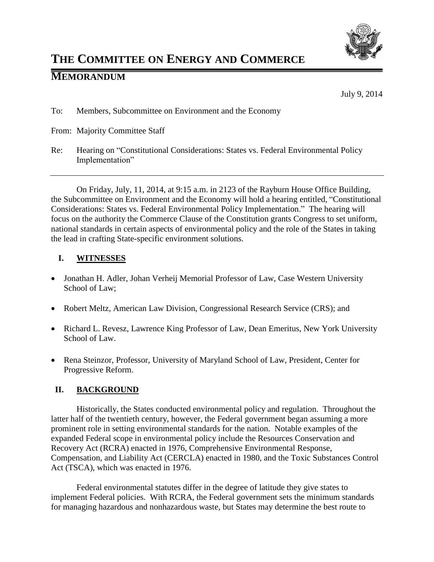

# **THE COMMITTEE ON ENERGY AND COMMERCE**

# **MEMORANDUM**

July 9, 2014

- To: Members, Subcommittee on Environment and the Economy
- From: Majority Committee Staff
- Re: Hearing on "Constitutional Considerations: States vs. Federal Environmental Policy Implementation"

On Friday, July, 11, 2014, at 9:15 a.m. in 2123 of the Rayburn House Office Building, the Subcommittee on Environment and the Economy will hold a hearing entitled, "Constitutional Considerations: States vs. Federal Environmental Policy Implementation." The hearing will focus on the authority the Commerce Clause of the Constitution grants Congress to set uniform, national standards in certain aspects of environmental policy and the role of the States in taking the lead in crafting State-specific environment solutions.

## **I. WITNESSES**

- Jonathan H. Adler, Johan Verheij Memorial Professor of Law, Case Western University School of Law;
- Robert Meltz, American Law Division, Congressional Research Service (CRS); and
- Richard L. Revesz, Lawrence King Professor of Law, Dean Emeritus, New York University School of Law.
- Rena Steinzor, Professor, University of Maryland School of Law, President, Center for Progressive Reform.

#### **II. BACKGROUND**

Historically, the States conducted environmental policy and regulation. Throughout the latter half of the twentieth century, however, the Federal government began assuming a more prominent role in setting environmental standards for the nation. Notable examples of the expanded Federal scope in environmental policy include the Resources Conservation and Recovery Act (RCRA) enacted in 1976, Comprehensive Environmental Response, Compensation, and Liability Act (CERCLA) enacted in 1980, and the Toxic Substances Control Act (TSCA), which was enacted in 1976.

Federal environmental statutes differ in the degree of latitude they give states to implement Federal policies. With RCRA, the Federal government sets the minimum standards for managing hazardous and nonhazardous waste, but States may determine the best route to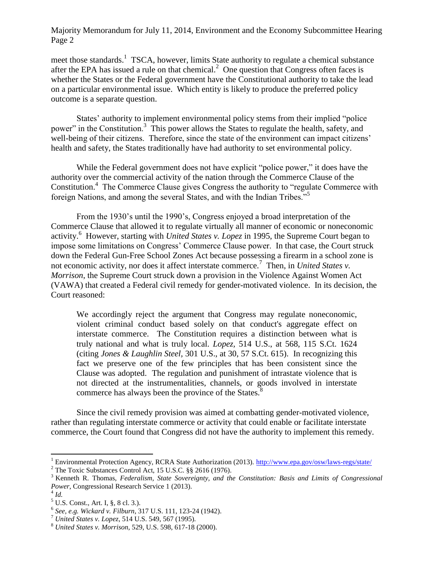Majority Memorandum for July 11, 2014, Environment and the Economy Subcommittee Hearing Page 2

meet those standards.<sup>1</sup> TSCA, however, limits State authority to regulate a chemical substance after the EPA has issued a rule on that chemical. $^2$  One question that Congress often faces is whether the States or the Federal government have the Constitutional authority to take the lead on a particular environmental issue. Which entity is likely to produce the preferred policy outcome is a separate question.

States' authority to implement environmental policy stems from their implied "police power" in the Constitution.<sup>3</sup> This power allows the States to regulate the health, safety, and well-being of their citizens. Therefore, since the state of the environment can impact citizens' health and safety, the States traditionally have had authority to set environmental policy.

While the Federal government does not have explicit "police power," it does have the authority over the commercial activity of the nation through the Commerce Clause of the Constitution.<sup>4</sup> The Commerce Clause gives Congress the authority to "regulate Commerce with foreign Nations, and among the several States, and with the Indian Tribes."<sup>5</sup>

From the 1930's until the 1990's, Congress enjoyed a broad interpretation of the Commerce Clause that allowed it to regulate virtually all manner of economic or noneconomic activity.<sup>6</sup> However, starting with *United States v. Lopez* in 1995, the Supreme Court began to impose some limitations on Congress' Commerce Clause power. In that case, the Court struck down the Federal Gun-Free School Zones Act because possessing a firearm in a school zone is not economic activity, nor does it affect interstate commerce.<sup>7</sup> Then, in *United States v*. *Morrison*, the Supreme Court struck down a provision in the Violence Against Women Act (VAWA) that created a Federal civil remedy for gender-motivated violence. In its decision, the Court reasoned:

We accordingly reject the argument that Congress may regulate noneconomic, violent criminal conduct based solely on that conduct's aggregate effect on interstate commerce. The Constitution requires a distinction between what is truly national and what is truly local. *Lopez,* [514 U.S., at 568, 115 S.Ct. 1624](https://a.next.westlaw.com/Link/Document/FullText?findType=Y&serNum=1995096321&pubNum=708&originationContext=document&transitionType=DocumentItem&contextData=(sc.History*oc.Search)) (citing *Jones & Laughlin Steel,* [301 U.S., at 30, 57 S.Ct. 615\).](https://a.next.westlaw.com/Link/Document/FullText?findType=Y&serNum=1937123003&pubNum=708&originationContext=document&transitionType=DocumentItem&contextData=(sc.History*oc.Search)) In recognizing this fact we preserve one of the few principles that has been consistent since the Clause was adopted. The regulation and punishment of intrastate violence that is not directed at the instrumentalities, channels, or goods involved in interstate commerce has always been the province of the States.<sup>8</sup>

Since the civil remedy provision was aimed at combatting gender-motivated violence, rather than regulating interstate commerce or activity that could enable or facilitate interstate commerce, the Court found that Congress did not have the authority to implement this remedy.

l

<sup>&</sup>lt;sup>1</sup> Environmental Protection Agency, RCRA State Authorization (2013).<http://www.epa.gov/osw/laws-regs/state/>

<sup>2</sup> The Toxic Substances Control Act, 15 U.S.C. §§ 2616 (1976).

<sup>3</sup> Kenneth R. Thomas, *Federalism, State Sovereignty, and the Constitution: Basis and Limits of Congressional Power*, Congressional Research Service 1 (2013). 4 *Id.*

 $5 \text{ U.S. Const., Art. I, §, 8 cl. 3.}.$ 

<sup>6</sup> *See, e.g. Wickard v. Filburn*, 317 U.S. 111, 123-24 (1942).

<sup>7</sup> *United States v. Lopez*, 514 U.S. 549, 567 (1995).

<sup>8</sup> *United States v. Morrison*, 529, U.S. 598, 617-18 (2000).